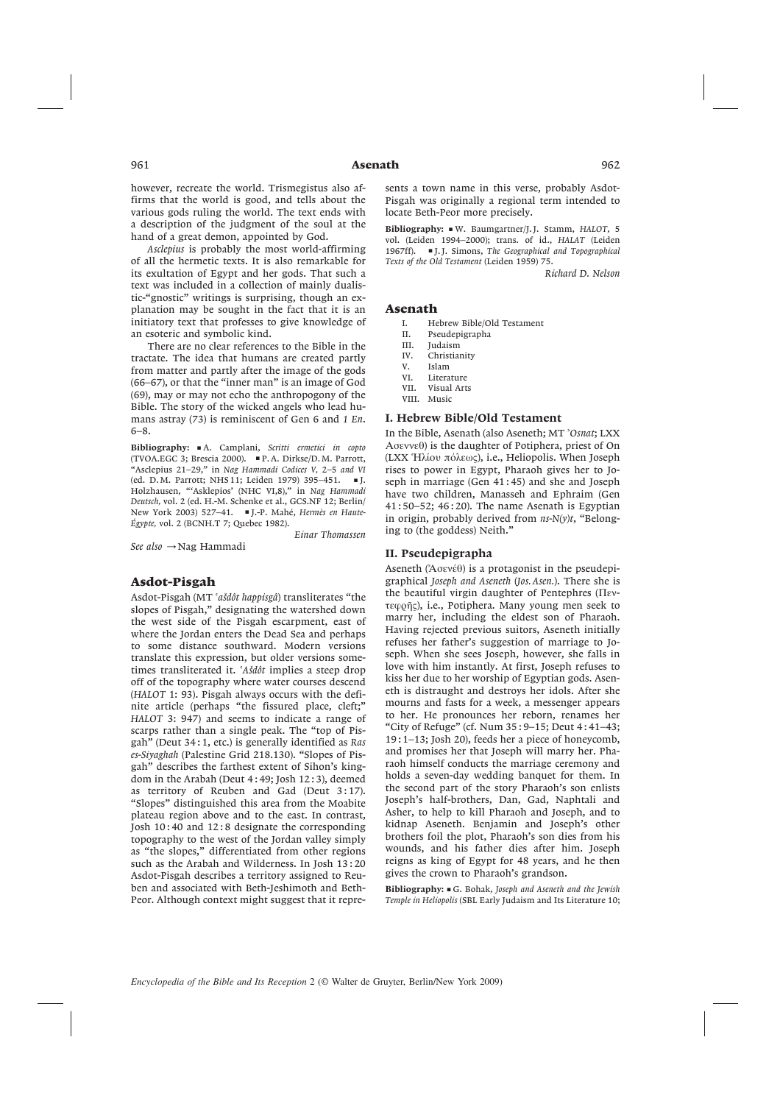however, recreate the world. Trismegistus also affirms that the world is good, and tells about the various gods ruling the world. The text ends with a description of the judgment of the soul at the hand of a great demon, appointed by God.

*Asclepius* is probably the most world-affirming of all the hermetic texts. It is also remarkable for its exultation of Egypt and her gods. That such a text was included in a collection of mainly dualistic-"gnostic" writings is surprising, though an explanation may be sought in the fact that it is an initiatory text that professes to give knowledge of an esoteric and symbolic kind.

There are no clear references to the Bible in the tractate. The idea that humans are created partly from matter and partly after the image of the gods (66–67), or that the "inner man" is an image of God (69), may or may not echo the anthropogony of the Bible. The story of the wicked angels who lead humans astray (73) is reminiscent of Gen 6 and *1 En*. 6–8.

Bibliography: ■ A. Camplani, *Scritti ermetici in copto* (TVOA.EGC 3; Brescia 2000). ■ P. A. Dirkse/D. M. Parrott, "Asclepius 21–29," in *Nag Hammadi Codices V,* 2–5 *and VI* (ed. D. M. Parrott; NHS 11; Leiden 1979) 395–451. ■ J. Holzhausen, "'Asklepios' (NHC VI,8)," in *Nag Hammadi Deutsch,* vol. 2 (ed. H.-M. Schenke et al., GCS.NF 12; Berlin/ New York 2003) 527–41. ■ J.-P. Mahé, *Hermès en Haute-Égypte,* vol. 2 (BCNH.T 7; Quebec 1982).

*See also* → Nag Hammadi

*Einar Thomassen*

# Asdot-Pisgah

Asdot-Pisgah (MT -*asˇdôt happisgâ*) transliterates "the slopes of Pisgah," designating the watershed down the west side of the Pisgah escarpment, east of where the Jordan enters the Dead Sea and perhaps to some distance southward. Modern versions translate this expression, but older versions sometimes transliterated it. 'Ašdôt implies a steep drop off of the topography where water courses descend (*HALOT* 1: 93). Pisgah always occurs with the definite article (perhaps "the fissured place, cleft;" *HALOT* 3: 947) and seems to indicate a range of scarps rather than a single peak. The "top of Pisgah" (Deut 34 : 1, etc.) is generally identified as *Ras es-Siyaghah* (Palestine Grid 218.130). "Slopes of Pisgah" describes the farthest extent of Sihon's kingdom in the Arabah (Deut 4 : 49; Josh 12 : 3), deemed as territory of Reuben and Gad (Deut 3:17). "Slopes" distinguished this area from the Moabite plateau region above and to the east. In contrast, Josh 10 : 40 and 12 : 8 designate the corresponding topography to the west of the Jordan valley simply as "the slopes," differentiated from other regions such as the Arabah and Wilderness. In Josh 13 : 20 Asdot-Pisgah describes a territory assigned to Reuben and associated with Beth-Jeshimoth and Beth-Peor. Although context might suggest that it represents a town name in this verse, probably Asdot-Pisgah was originally a regional term intended to locate Beth-Peor more precisely.

Bibliography: ■ W. Baumgartner/J. J. Stamm, *HALOT*, 5 vol. (Leiden 1994–2000); trans. of id., *HALAT* (Leiden 1967ff). ■ J. J. Simons, *The Geographical and Topographical Texts of the Old Testament* (Leiden 1959) 75.

*Richard D. Nelson*

## Asenath

- I. Hebrew Bible/Old Testament
- II. Pseudepigrapha
- III. Judaism<br>IV. Christian
- Christianity
- V. Islam
- VI. Literature
- Visual Arts
- VIII. Music

# I. Hebrew Bible/Old Testament

In the Bible, Asenath (also Aseneth; MT *Osnat*; LXX Ασεννεθ) is the daughter of Potiphera, priest of On (LXX Ηλίου πόλεως), i.e., Heliopolis. When Joseph rises to power in Egypt, Pharaoh gives her to Joseph in marriage (Gen 41 : 45) and she and Joseph have two children, Manasseh and Ephraim (Gen 41 : 50–52; 46 : 20). The name Asenath is Egyptian in origin, probably derived from *ns-N(y)t*, "Belonging to (the goddess) Neith."

#### II. Pseudepigrapha

Aseneth ("Aσενέθ) is a protagonist in the pseudepigraphical *Joseph and Aseneth* (*Jos. Asen.*). There she is the beautiful virgin daughter of Pentephres (Πεντεφοῆς), i.e., Potiphera. Many young men seek to marry her, including the eldest son of Pharaoh. Having rejected previous suitors, Aseneth initially refuses her father's suggestion of marriage to Joseph. When she sees Joseph, however, she falls in love with him instantly. At first, Joseph refuses to kiss her due to her worship of Egyptian gods. Aseneth is distraught and destroys her idols. After she mourns and fasts for a week, a messenger appears to her. He pronounces her reborn, renames her "City of Refuge" (cf. Num 35 : 9–15; Deut 4 : 41–43; 19 : 1–13; Josh 20), feeds her a piece of honeycomb, and promises her that Joseph will marry her. Pharaoh himself conducts the marriage ceremony and holds a seven-day wedding banquet for them. In the second part of the story Pharaoh's son enlists Joseph's half-brothers, Dan, Gad, Naphtali and Asher, to help to kill Pharaoh and Joseph, and to kidnap Aseneth. Benjamin and Joseph's other brothers foil the plot, Pharaoh's son dies from his wounds, and his father dies after him. Joseph reigns as king of Egypt for 48 years, and he then gives the crown to Pharaoh's grandson.

**Β**ibliography: ■ G. Bohak, *Joseph and Aseneth and the Jewish Temple in Heliopolis* (SBL Early Judaism and Its Literature 10;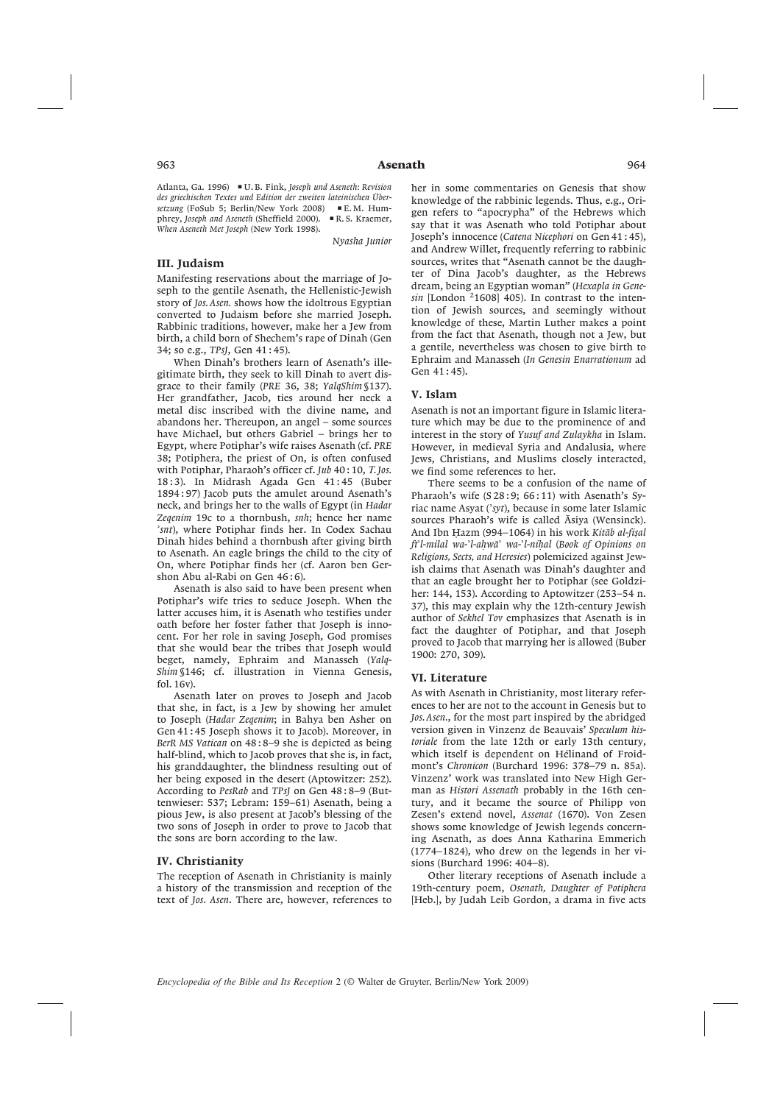Atlanta, Ga. 1996) ■ U. B. Fink, *Joseph und Aseneth: Revision des griechischen Textes und Edition der zweiten lateinischen Übersetzung* (FoSub 5; Berlin/New York 2008) ■ E. M. Humphrey, *Joseph and Aseneth* (Sheffield 2000). ■ R. S. Kraemer, *When Aseneth Met Joseph* (New York 1998).

*Nyasha Junior*

## III. Judaism

Manifesting reservations about the marriage of Joseph to the gentile Asenath, the Hellenistic-Jewish story of *Jos. Asen.* shows how the idoltrous Egyptian converted to Judaism before she married Joseph. Rabbinic traditions, however, make her a Jew from birth, a child born of Shechem's rape of Dinah (Gen 34; so e.g., *TPsJ*, Gen 41 : 45).

When Dinah's brothers learn of Asenath's illegitimate birth, they seek to kill Dinah to avert disgrace to their family (*PRE* 36, 38; *YalqShim* §137). Her grandfather, Jacob, ties around her neck a metal disc inscribed with the divine name, and abandons her. Thereupon, an angel – some sources have Michael, but others Gabriel – brings her to Egypt, where Potiphar's wife raises Asenath (cf. *PRE* 38; Potiphera, the priest of On, is often confused with Potiphar, Pharaoh's officer cf. *Jub* 40 : 10, *Τ. Jos.* 18 : 3). In Midrash Agada Gen 41 : 45 (Buber 1894 : 97) Jacob puts the amulet around Asenath's neck, and brings her to the walls of Egypt (in *Hadar Zeqenim* 19c to a thornbush, *snh*; hence her name *snt*), where Potiphar finds her. In Codex Sachau Dinah hides behind a thornbush after giving birth to Asenath. An eagle brings the child to the city of On, where Potiphar finds her (cf. Aaron ben Gershon Abu al-Rabi on Gen 46:6).

Asenath is also said to have been present when Potiphar's wife tries to seduce Joseph. When the latter accuses him, it is Asenath who testifies under oath before her foster father that Joseph is innocent. For her role in saving Joseph, God promises that she would bear the tribes that Joseph would beget, namely, Ephraim and Manasseh (*Yalq-Shim* §146; cf. illustration in Vienna Genesis, fol. 16v).

Asenath later on proves to Joseph and Jacob that she, in fact, is a Jew by showing her amulet to Joseph (*Hadar Zeqenim*; in Bahya ben Asher on Gen 41 : 45 Joseph shows it to Jacob). Moreover, in *BerR MS Vatican* on 48 : 8–9 she is depicted as being half-blind, which to Jacob proves that she is, in fact, his granddaughter, the blindness resulting out of her being exposed in the desert (Aptowitzer: 252). According to *PesRab* and *TPsJ* on Gen 48 : 8–9 (Buttenwieser: 537; Lebram: 159–61) Asenath, being a pious Jew, is also present at Jacob's blessing of the two sons of Joseph in order to prove to Jacob that the sons are born according to the law.

### IV. Christianity

The reception of Asenath in Christianity is mainly a history of the transmission and reception of the text of *Jos. Asen*. There are, however, references to

her in some commentaries on Genesis that show knowledge of the rabbinic legends. Thus, e.g., Origen refers to "apocrypha" of the Hebrews which say that it was Asenath who told Potiphar about Joseph's innocence (*Catena Nicephori* on Gen 41 : 45), and Andrew Willet, frequently referring to rabbinic sources, writes that "Asenath cannot be the daughter of Dina Jacob's daughter, as the Hebrews dream, being an Egyptian woman" (*Hexapla in Gene* $sin$  [London  $21608$ ] 405). In contrast to the intention of Jewish sources, and seemingly without knowledge of these, Martin Luther makes a point from the fact that Asenath, though not a Jew, but a gentile, nevertheless was chosen to give birth to Ephraim and Manasseh (*In Genesin Enarrationum* ad Gen 41 : 45).

### V. Islam

Asenath is not an important figure in Islamic literature which may be due to the prominence of and interest in the story of *Yusuf and Zulaykha* in Islam. However, in medieval Syria and Andalusia, where Jews, Christians, and Muslims closely interacted, we find some references to her.

There seems to be a confusion of the name of Pharaoh's wife (S 28: 9; 66:11) with Asenath's Syriac name Asyat (*syt*), because in some later Islamic sources Pharaoh's wife is called Asiya (Wensinck). And Ibn Hazm (994–1064) in his work *Kitāb al-fisal fı¯l-milal wa-l-ahøwa¯ wa-l-nihøal* (*Book of Opinions on Religions, Sects, and Heresies*) polemicized against Jewish claims that Asenath was Dinah's daughter and that an eagle brought her to Potiphar (see Goldziher: 144, 153). According to Aptowitzer (253–54 n. 37), this may explain why the 12th-century Jewish author of *Sekhel Tov* emphasizes that Asenath is in fact the daughter of Potiphar, and that Joseph proved to Jacob that marrying her is allowed (Buber 1900: 270, 309).

#### VI. Literature

As with Asenath in Christianity, most literary references to her are not to the account in Genesis but to *Jos. Asen.*, for the most part inspired by the abridged version given in Vinzenz de Beauvais' *Speculum historiale* from the late 12th or early 13th century, which itself is dependent on Hélinand of Froidmont's *Chronicon* (Burchard 1996: 378–79 n. 85a). Vinzenz' work was translated into New High German as *Histori Assenath* probably in the 16th century, and it became the source of Philipp von Zesen's extend novel, *Assenat* (1670). Von Zesen shows some knowledge of Jewish legends concerning Asenath, as does Anna Katharina Emmerich (1774–1824), who drew on the legends in her visions (Burchard 1996: 404–8).

Other literary receptions of Asenath include a 19th-century poem, *Osenath, Daughter of Potiphera* [Heb.], by Judah Leib Gordon, a drama in five acts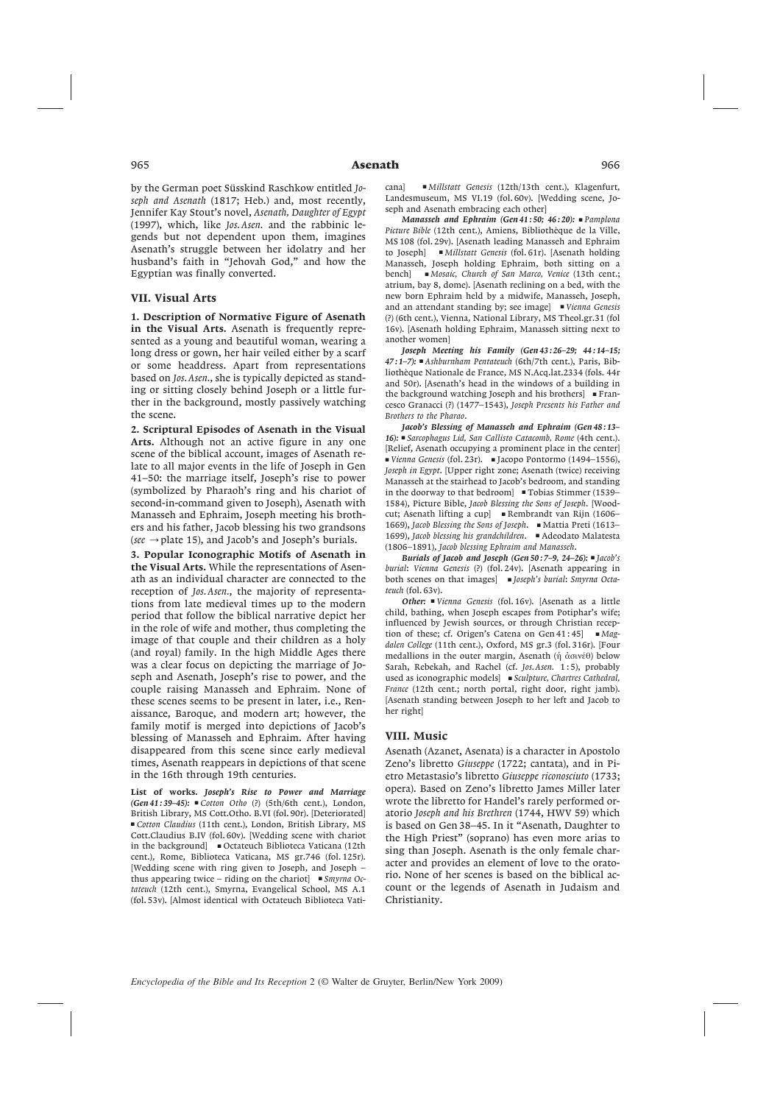by the German poet Süsskind Raschkow entitled *Joseph and Asenath* (1817; Heb.) and, most recently, Jennifer Kay Stout's novel, *Asenath, Daughter of Egypt* (1997), which, like *Jos. Asen.* and the rabbinic legends but not dependent upon them, imagines Asenath's struggle between her idolatry and her husband's faith in "Jehovah God," and how the Egyptian was finally converted.

## VII. Visual Arts

1. Description of Normative Figure of Asenath in the Visual Arts. Asenath is frequently represented as a young and beautiful woman, wearing a long dress or gown, her hair veiled either by a scarf or some headdress. Apart from representations based on *Jos. Asen.*, she is typically depicted as standing or sitting closely behind Joseph or a little further in the background, mostly passively watching the scene.

2. Scriptural Episodes of Asenath in the Visual Arts. Although not an active figure in any one scene of the biblical account, images of Asenath relate to all major events in the life of Joseph in Gen 41–50: the marriage itself, Joseph's rise to power (symbolized by Pharaoh's ring and his chariot of second-in-command given to Joseph), Asenath with Manasseh and Ephraim, Joseph meeting his brothers and his father, Jacob blessing his two grandsons ( $see \rightarrow plate 15$ ), and Jacob's and Joseph's burials.

3. Popular Iconographic Motifs of Asenath in the Visual Arts. While the representations of Asenath as an individual character are connected to the reception of *Jos. Asen.*, the majority of representations from late medieval times up to the modern period that follow the biblical narrative depict her in the role of wife and mother, thus completing the image of that couple and their children as a holy (and royal) family. In the high Middle Ages there was a clear focus on depicting the marriage of Joseph and Asenath, Joseph's rise to power, and the couple raising Manasseh and Ephraim. None of these scenes seems to be present in later, i.e., Renaissance, Baroque, and modern art; however, the family motif is merged into depictions of Jacob's blessing of Manasseh and Ephraim. After having disappeared from this scene since early medieval times, Asenath reappears in depictions of that scene in the 16th through 19th centuries.

List of works. *Joseph's Rise to Power and Marriage (Gen 41 : 39–45):* ■ *Cotton Otho* (?) (5th/6th cent.), London, British Library, MS Cott.Otho. B.VI (fol. 90r). [Deteriorated] ■ *Cotton Claudius* (11th cent.), London, British Library, MS Cott.Claudius B.IV (fol. 60v). [Wedding scene with chariot in the background] ■ Octateuch Biblioteca Vaticana (12th cent.), Rome, Biblioteca Vaticana, MS gr.746 (fol. 125r). [Wedding scene with ring given to Joseph, and Joseph – thus appearing twice – riding on the chariot] ■ *Smyrna Octateuch* (12th cent.), Smyrna, Evangelical School, MS A.1 (fol. 53v). [Almost identical with Octateuch Biblioteca Vaticana] ■ *Millstatt Genesis* (12th/13th cent.), Klagenfurt, Landesmuseum, MS VI.19 (fol. 60v). [Wedding scene, Joseph and Asenath embracing each other]

*Manasseh and Ephraim (Gen 41 : 50; 46 : 20):* ■ *Pamplona Picture Bible* (12th cent.), Amiens, Bibliothèque de la Ville, MS 108 (fol. 29v). [Asenath leading Manasseh and Ephraim to Joseph] ■ *Millstatt Genesis* (fol. 61r). [Asenath holding Manasseh, Joseph holding Ephraim, both sitting on a bench] ■ *Mosaic, Church of San Marco, Venice* (13th cent.; atrium, bay 8, dome). [Asenath reclining on a bed, with the new born Ephraim held by a midwife, Manasseh, Joseph, and an attendant standing by; see image] ■ *Vienna Genesis* (?) (6th cent.), Vienna, National Library, MS Theol.gr.31 (fol 16v). [Asenath holding Ephraim, Manasseh sitting next to another women]

*Joseph Meeting his Family (Gen 43 : 26–29; 44 : 14–15; 47 : 1–7):* ■ *Ashburnham Pentateuch* (6th/7th cent.), Paris, Bibliothèque Nationale de France, MS N.Acq.lat.2334 (fols. 44r and 50r). [Asenath's head in the windows of a building in the background watching Joseph and his brothers] ■ Francesco Granacci (?) (1477–1543), *Joseph Presents his Father and Brothers to the Pharao*.

*Jacob's Blessing of Manasseh and Ephraim (Gen 48 : 13– 16):* ■ *Sarcophagus Lid, San Callisto Catacomb, Rome* (4th cent.). [Relief, Asenath occupying a prominent place in the center] ■ *Vienna Genesis* (fol. 23r). ■ Jacopo Pontormo (1494–1556), *Joseph in Egypt*. [Upper right zone; Asenath (twice) receiving Manasseh at the stairhead to Jacob's bedroom, and standing in the doorway to that bedroom] ■ Tobias Stimmer (1539– 1584), Picture Bible, *Jacob Blessing the Sons of Joseph*. [Woodcut; Asenath lifting a cup] ■ Rembrandt van Rijn (1606– 1669), *Jacob Blessing the Sons of Joseph*. ■ Mattia Preti (1613– 1699), *Jacob blessing his grandchildren*. ■ Adeodato Malatesta (1806–1891), *Jacob blessing Ephraim and Manasseh*.

*Burials of Jacob and Joseph (Gen 50 : 7–9, 24–26):* ■ *Jacob's burial*: *Vienna Genesis* (?) (fol. 24v). [Asenath appearing in both scenes on that images] ■ *Joseph's burial*: *Smyrna Octateuch* (fol. 63v).

*Other:* ■ *Vienna Genesis* (fol. 16v). [Asenath as a little child, bathing, when Joseph escapes from Potiphar's wife; influenced by Jewish sources, or through Christian reception of these; cf. Origen's Catena on Gen 41 : 45] ■ *Magdalen College* (11th cent.), Oxford, MS gr.3 (fol. 316r). [Four medallions in the outer margin, Asenath (ή  $\dot{\alpha}$ σινέθ) below Sarah, Rebekah, and Rachel (cf. *Jos. Asen.* 1:5), probably used as iconographic models] ■ *Sculpture, Chartres Cathedral, France* (12th cent.; north portal, right door, right jamb). [Asenath standing between Joseph to her left and Jacob to her right]

### VIII. Music

Asenath (Azanet, Asenata) is a character in Apostolo Zeno's libretto *Giuseppe* (1722; cantata), and in Pietro Metastasio's libretto *Giuseppe riconosciuto* (1733; opera). Based on Zeno's libretto James Miller later wrote the libretto for Handel's rarely performed oratorio *Joseph and his Brethren* (1744, HWV 59) which is based on Gen 38–45. In it "Asenath, Daughter to the High Priest" (soprano) has even more arias to sing than Joseph. Asenath is the only female character and provides an element of love to the oratorio. None of her scenes is based on the biblical account or the legends of Asenath in Judaism and Christianity.